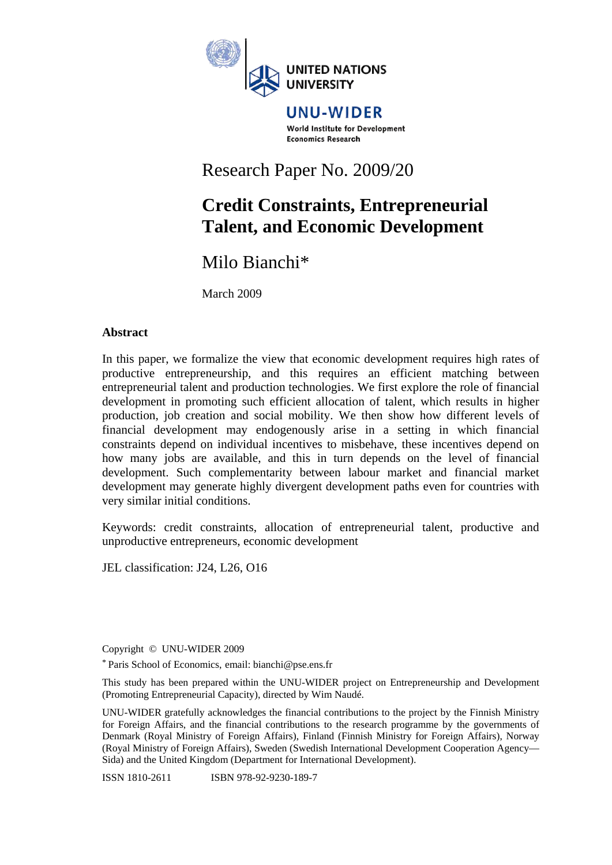

UNU-WIDER World Institute for Development **Economics Research** 

# Research Paper No. 2009/20

# **Credit Constraints, Entrepreneurial Talent, and Economic Development**

Milo Bianchi\*

March 2009

## **Abstract**

In this paper, we formalize the view that economic development requires high rates of productive entrepreneurship, and this requires an efficient matching between entrepreneurial talent and production technologies. We first explore the role of financial development in promoting such efficient allocation of talent, which results in higher production, job creation and social mobility. We then show how different levels of financial development may endogenously arise in a setting in which financial constraints depend on individual incentives to misbehave, these incentives depend on how many jobs are available, and this in turn depends on the level of financial development. Such complementarity between labour market and financial market development may generate highly divergent development paths even for countries with very similar initial conditions.

Keywords: credit constraints, allocation of entrepreneurial talent, productive and unproductive entrepreneurs, economic development

JEL classification: J24, L26, O16

Copyright © UNU-WIDER 2009

\* Paris School of Economics, email: bianchi@pse.ens.fr

This study has been prepared within the UNU-WIDER project on Entrepreneurship and Development (Promoting Entrepreneurial Capacity), directed by Wim Naudé.

UNU-WIDER gratefully acknowledges the financial contributions to the project by the Finnish Ministry for Foreign Affairs, and the financial contributions to the research programme by the governments of Denmark (Royal Ministry of Foreign Affairs), Finland (Finnish Ministry for Foreign Affairs), Norway (Royal Ministry of Foreign Affairs), Sweden (Swedish International Development Cooperation Agency— Sida) and the United Kingdom (Department for International Development).

ISSN 1810-2611 ISBN 978-92-9230-189-7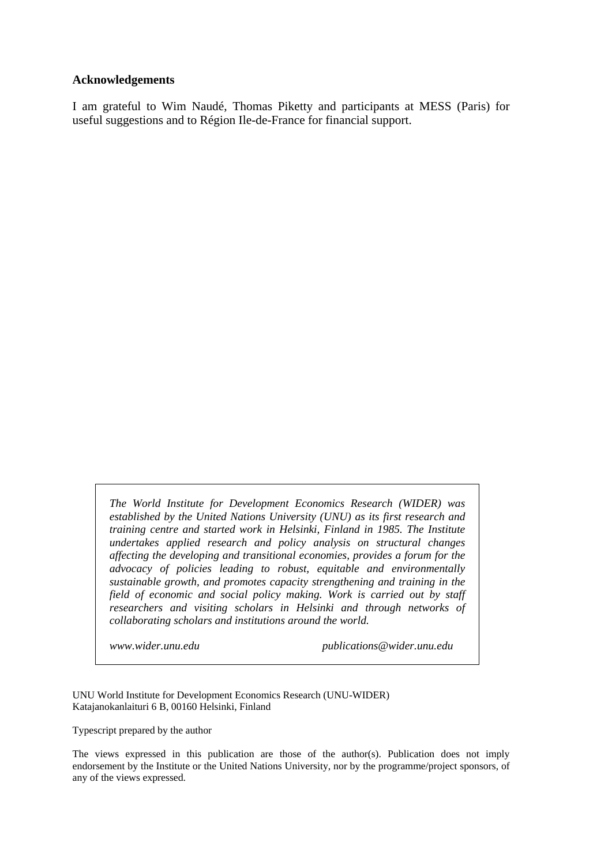## **Acknowledgements**

I am grateful to Wim Naudé, Thomas Piketty and participants at MESS (Paris) for useful suggestions and to Région Ile-de-France for financial support.

*The World Institute for Development Economics Research (WIDER) was established by the United Nations University (UNU) as its first research and training centre and started work in Helsinki, Finland in 1985. The Institute undertakes applied research and policy analysis on structural changes affecting the developing and transitional economies, provides a forum for the advocacy of policies leading to robust, equitable and environmentally sustainable growth, and promotes capacity strengthening and training in the field of economic and social policy making. Work is carried out by staff researchers and visiting scholars in Helsinki and through networks of collaborating scholars and institutions around the world.* 

*www.wider.unu.edu publications@wider.unu.edu* 

UNU World Institute for Development Economics Research (UNU-WIDER) Katajanokanlaituri 6 B, 00160 Helsinki, Finland

Typescript prepared by the author

The views expressed in this publication are those of the author(s). Publication does not imply endorsement by the Institute or the United Nations University, nor by the programme/project sponsors, of any of the views expressed.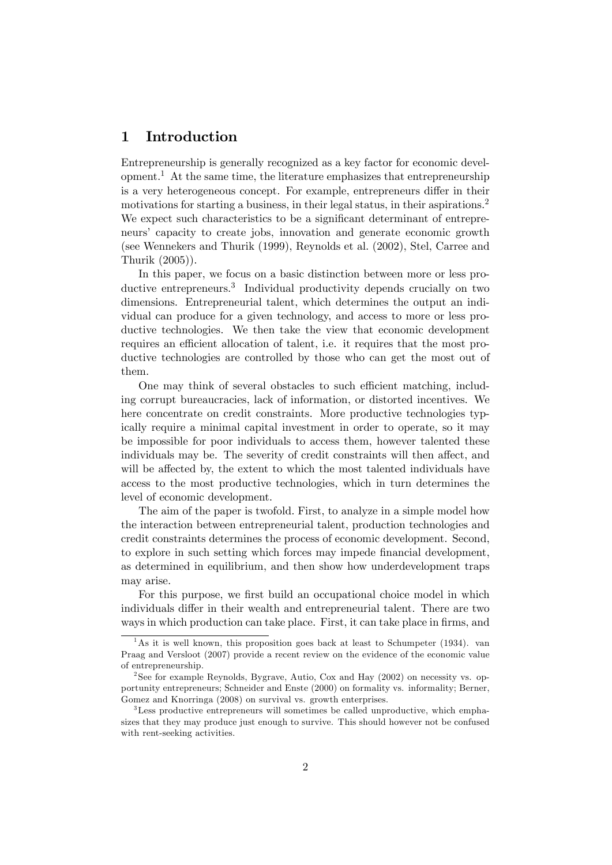## 1 Introduction

Entrepreneurship is generally recognized as a key factor for economic development.<sup>1</sup> At the same time, the literature emphasizes that entrepreneurship is a very heterogeneous concept. For example, entrepreneurs differ in their motivations for starting a business, in their legal status, in their aspirations.<sup>2</sup> We expect such characteristics to be a significant determinant of entrepreneurs' capacity to create jobs, innovation and generate economic growth (see Wennekers and Thurik (1999), Reynolds et al. (2002), Stel, Carree and Thurik (2005)).

In this paper, we focus on a basic distinction between more or less productive entrepreneurs.<sup>3</sup> Individual productivity depends crucially on two dimensions. Entrepreneurial talent, which determines the output an individual can produce for a given technology, and access to more or less productive technologies. We then take the view that economic development requires an efficient allocation of talent, i.e. it requires that the most productive technologies are controlled by those who can get the most out of them.

One may think of several obstacles to such efficient matching, including corrupt bureaucracies, lack of information, or distorted incentives. We here concentrate on credit constraints. More productive technologies typically require a minimal capital investment in order to operate, so it may be impossible for poor individuals to access them, however talented these individuals may be. The severity of credit constraints will then affect, and will be affected by, the extent to which the most talented individuals have access to the most productive technologies, which in turn determines the level of economic development.

The aim of the paper is twofold. First, to analyze in a simple model how the interaction between entrepreneurial talent, production technologies and credit constraints determines the process of economic development. Second, to explore in such setting which forces may impede financial development, as determined in equilibrium, and then show how underdevelopment traps may arise.

For this purpose, we first build an occupational choice model in which individuals differ in their wealth and entrepreneurial talent. There are two ways in which production can take place. First, it can take place in firms, and

 $1<sup>1</sup>$ As it is well known, this proposition goes back at least to Schumpeter (1934). van Praag and Versloot (2007) provide a recent review on the evidence of the economic value of entrepreneurship.

<sup>&</sup>lt;sup>2</sup>See for example Reynolds, Bygrave, Autio, Cox and Hay (2002) on necessity vs. opportunity entrepreneurs; Schneider and Enste (2000) on formality vs. informality; Berner, Gomez and Knorringa (2008) on survival vs. growth enterprises.

<sup>&</sup>lt;sup>3</sup>Less productive entrepreneurs will sometimes be called unproductive, which emphasizes that they may produce just enough to survive. This should however not be confused with rent-seeking activities.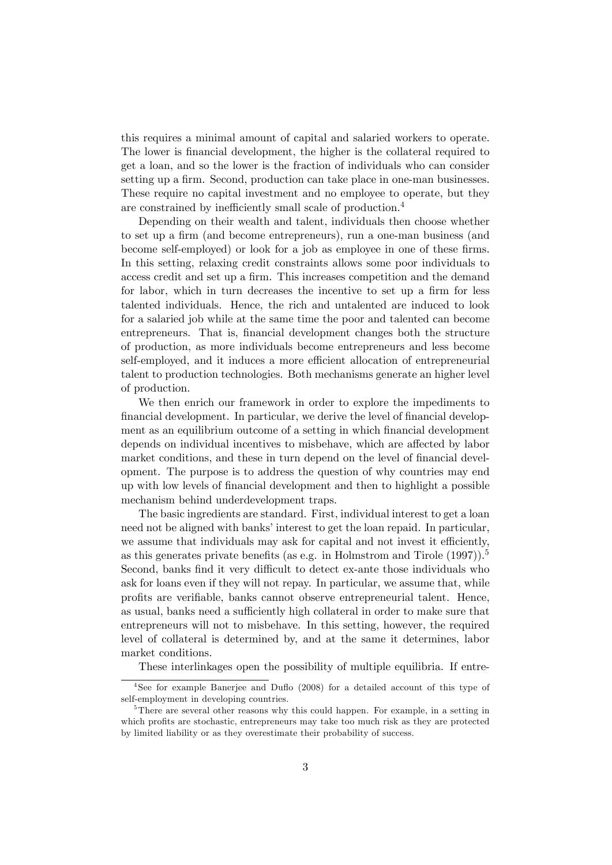this requires a minimal amount of capital and salaried workers to operate. The lower is financial development, the higher is the collateral required to get a loan, and so the lower is the fraction of individuals who can consider setting up a firm. Second, production can take place in one-man businesses. These require no capital investment and no employee to operate, but they are constrained by inefficiently small scale of production.<sup>4</sup>

Depending on their wealth and talent, individuals then choose whether to set up a firm (and become entrepreneurs), run a one-man business (and become self-employed) or look for a job as employee in one of these firms. In this setting, relaxing credit constraints allows some poor individuals to access credit and set up a firm. This increases competition and the demand for labor, which in turn decreases the incentive to set up a firm for less talented individuals. Hence, the rich and untalented are induced to look for a salaried job while at the same time the poor and talented can become entrepreneurs. That is, financial development changes both the structure of production, as more individuals become entrepreneurs and less become self-employed, and it induces a more efficient allocation of entrepreneurial talent to production technologies. Both mechanisms generate an higher level of production.

We then enrich our framework in order to explore the impediments to financial development. In particular, we derive the level of financial development as an equilibrium outcome of a setting in which financial development depends on individual incentives to misbehave, which are affected by labor market conditions, and these in turn depend on the level of financial development. The purpose is to address the question of why countries may end up with low levels of Önancial development and then to highlight a possible mechanism behind underdevelopment traps.

The basic ingredients are standard. First, individual interest to get a loan need not be aligned with banks' interest to get the loan repaid. In particular, we assume that individuals may ask for capital and not invest it efficiently, as this generates private benefits (as e.g. in Holmstrom and Tirole  $(1997)$ ).<sup>5</sup> Second, banks find it very difficult to detect ex-ante those individuals who ask for loans even if they will not repay. In particular, we assume that, while profits are verifiable, banks cannot observe entrepreneurial talent. Hence, as usual, banks need a sufficiently high collateral in order to make sure that entrepreneurs will not to misbehave. In this setting, however, the required level of collateral is determined by, and at the same it determines, labor market conditions.

These interlinkages open the possibility of multiple equilibria. If entre-

<sup>&</sup>lt;sup>4</sup>See for example Banerjee and Duflo (2008) for a detailed account of this type of self-employment in developing countries.

 $5<sup>5</sup>$ There are several other reasons why this could happen. For example, in a setting in which profits are stochastic, entrepreneurs may take too much risk as they are protected by limited liability or as they overestimate their probability of success.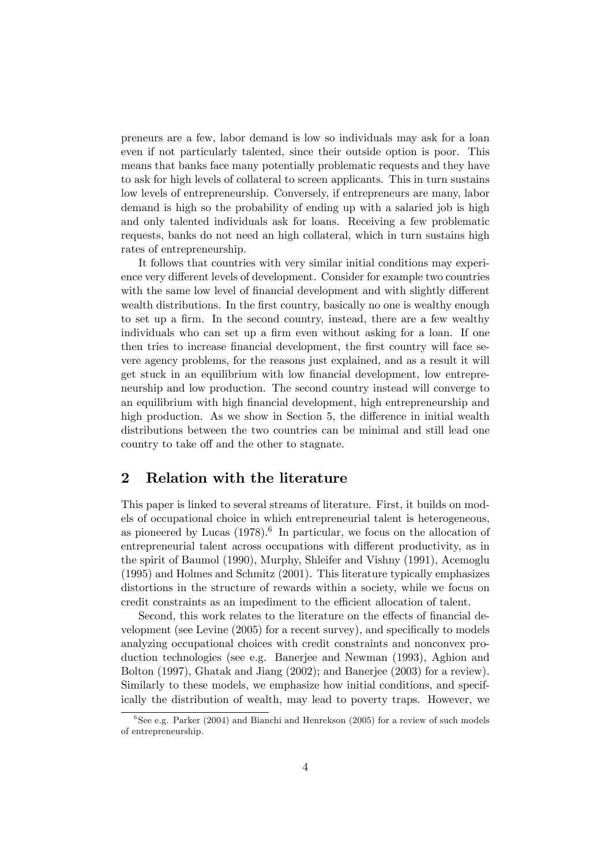preneurs are a few, labor demand is low so individuals may ask for a loan even if not particularly talented, since their outside option is poor. This means that banks face many potentially problematic requests and they have to ask for high levels of collateral to screen applicants. This in turn sustains low levels of entrepreneurship. Conversely, if entrepreneurs are many, labor demand is high so the probability of ending up with a salaried job is high and only talented individuals ask for loans. Receiving a few problematic requests, banks do not need an high collateral, which in turn sustains high rates of entrepreneurship.

It follows that countries with very similar initial conditions may experience very different levels of development. Consider for example two countries with the same low level of financial development and with slightly different wealth distributions. In the first country, basically no one is wealthy enough to set up a firm. In the second country, instead, there are a few wealthy individuals who can set up a firm even without asking for a loan. If one then tries to increase financial development, the first country will face severe agency problems, for the reasons just explained, and as a result it will get stuck in an equilibrium with low Önancial development, low entrepreneurship and low production. The second country instead will converge to an equilibrium with high financial development, high entrepreneurship and high production. As we show in Section 5, the difference in initial wealth distributions between the two countries can be minimal and still lead one country to take off and the other to stagnate.

# 2 Relation with the literature

This paper is linked to several streams of literature. First, it builds on models of occupational choice in which entrepreneurial talent is heterogeneous, as pioneered by Lucas  $(1978)^6$  In particular, we focus on the allocation of entrepreneurial talent across occupations with different productivity, as in the spirit of Baumol (1990), Murphy, Shleifer and Vishny (1991), Acemoglu (1995) and Holmes and Schmitz (2001). This literature typically emphasizes distortions in the structure of rewards within a society, while we focus on credit constraints as an impediment to the efficient allocation of talent.

Second, this work relates to the literature on the effects of financial development (see Levine  $(2005)$  for a recent survey), and specifically to models analyzing occupational choices with credit constraints and nonconvex production technologies (see e.g. Banerjee and Newman (1993), Aghion and Bolton (1997), Ghatak and Jiang (2002); and Banerjee (2003) for a review). Similarly to these models, we emphasize how initial conditions, and specifically the distribution of wealth, may lead to poverty traps. However, we

<sup>&</sup>lt;sup>6</sup>See e.g. Parker (2004) and Bianchi and Henrekson (2005) for a review of such models of entrepreneurship.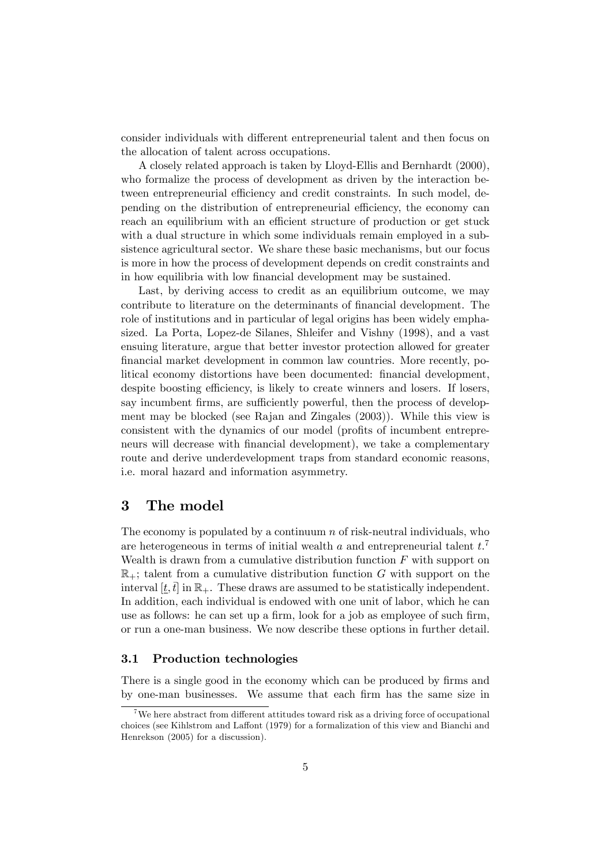consider individuals with different entrepreneurial talent and then focus on the allocation of talent across occupations.

A closely related approach is taken by Lloyd-Ellis and Bernhardt (2000), who formalize the process of development as driven by the interaction between entrepreneurial efficiency and credit constraints. In such model, depending on the distribution of entrepreneurial efficiency, the economy can reach an equilibrium with an efficient structure of production or get stuck with a dual structure in which some individuals remain employed in a subsistence agricultural sector. We share these basic mechanisms, but our focus is more in how the process of development depends on credit constraints and in how equilibria with low financial development may be sustained.

Last, by deriving access to credit as an equilibrium outcome, we may contribute to literature on the determinants of financial development. The role of institutions and in particular of legal origins has been widely emphasized. La Porta, Lopez-de Silanes, Shleifer and Vishny (1998), and a vast ensuing literature, argue that better investor protection allowed for greater financial market development in common law countries. More recently, political economy distortions have been documented: financial development, despite boosting efficiency, is likely to create winners and losers. If losers, say incumbent firms, are sufficiently powerful, then the process of development may be blocked (see Rajan and Zingales (2003)). While this view is consistent with the dynamics of our model (profits of incumbent entrepreneurs will decrease with financial development), we take a complementary route and derive underdevelopment traps from standard economic reasons, i.e. moral hazard and information asymmetry.

## 3 The model

The economy is populated by a continuum  $n$  of risk-neutral individuals, who are heterogeneous in terms of initial wealth a and entrepreneurial talent  $t$ . Wealth is drawn from a cumulative distribution function  $F$  with support on  $\mathbb{R}_+$ ; talent from a cumulative distribution function G with support on the interval  $[t, \bar{t}]$  in  $\mathbb{R}_+$ . These draws are assumed to be statistically independent. In addition, each individual is endowed with one unit of labor, which he can use as follows: he can set up a firm, look for a job as employee of such firm, or run a one-man business. We now describe these options in further detail.

### 3.1 Production technologies

There is a single good in the economy which can be produced by firms and by one-man businesses. We assume that each Örm has the same size in

<sup>&</sup>lt;sup>7</sup>We here abstract from different attitudes toward risk as a driving force of occupational choices (see Kihlstrom and Laffont (1979) for a formalization of this view and Bianchi and Henrekson (2005) for a discussion).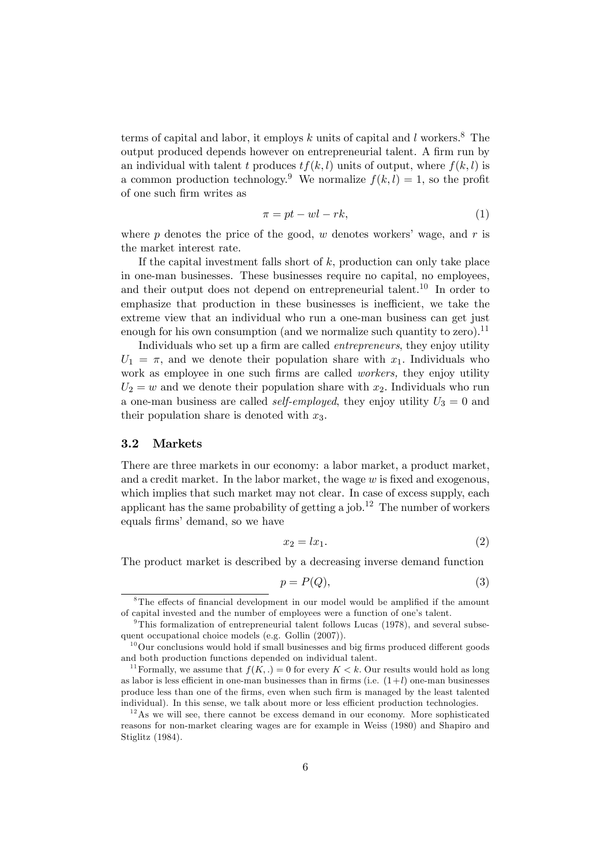terms of capital and labor, it employs k units of capital and l workers.<sup>8</sup> The output produced depends however on entrepreneurial talent. A firm run by an individual with talent t produces  $tf(k, l)$  units of output, where  $f(k, l)$  is a common production technology.<sup>9</sup> We normalize  $f(k, l) = 1$ , so the profit of one such Örm writes as

$$
\pi = pt - w l - rk,\tag{1}
$$

where  $p$  denotes the price of the good,  $w$  denotes workers' wage, and  $r$  is the market interest rate.

If the capital investment falls short of  $k$ , production can only take place in one-man businesses. These businesses require no capital, no employees, and their output does not depend on entrepreneurial talent.<sup>10</sup> In order to emphasize that production in these businesses is inefficient, we take the extreme view that an individual who run a one-man business can get just enough for his own consumption (and we normalize such quantity to zero).<sup>11</sup>

Individuals who set up a firm are called *entrepreneurs*, they enjoy utility  $U_1 = \pi$ , and we denote their population share with  $x_1$ . Individuals who work as employee in one such firms are called *workers*, they enjoy utility  $U_2 = w$  and we denote their population share with  $x_2$ . Individuals who run a one-man business are called *self-employed*, they enjoy utility  $U_3 = 0$  and their population share is denoted with  $x_3$ .

## 3.2 Markets

There are three markets in our economy: a labor market, a product market, and a credit market. In the labor market, the wage  $w$  is fixed and exogenous, which implies that such market may not clear. In case of excess supply, each applicant has the same probability of getting a job.<sup>12</sup> The number of workers equals firms' demand, so we have

$$
x_2 = lx_1. \tag{2}
$$

The product market is described by a decreasing inverse demand function

$$
p = P(Q),\tag{3}
$$

 $8$ The effects of financial development in our model would be amplified if the amount of capital invested and the number of employees were a function of one's talent.

<sup>&</sup>lt;sup>9</sup>This formalization of entrepreneurial talent follows Lucas  $(1978)$ , and several subsequent occupational choice models (e.g. Gollin (2007)).

 $100$  Cur conclusions would hold if small businesses and big firms produced different goods and both production functions depended on individual talent.

<sup>&</sup>lt;sup>11</sup> Formally, we assume that  $f(K, .) = 0$  for every  $K < k$ . Our results would hold as long as labor is less efficient in one-man businesses than in firms (i.e.  $(1+l)$  one-man businesses produce less than one of the Örms, even when such Örm is managed by the least talented individual). In this sense, we talk about more or less efficient production technologies.

 $12$ As we will see, there cannot be excess demand in our economy. More sophisticated reasons for non-market clearing wages are for example in Weiss (1980) and Shapiro and Stiglitz (1984).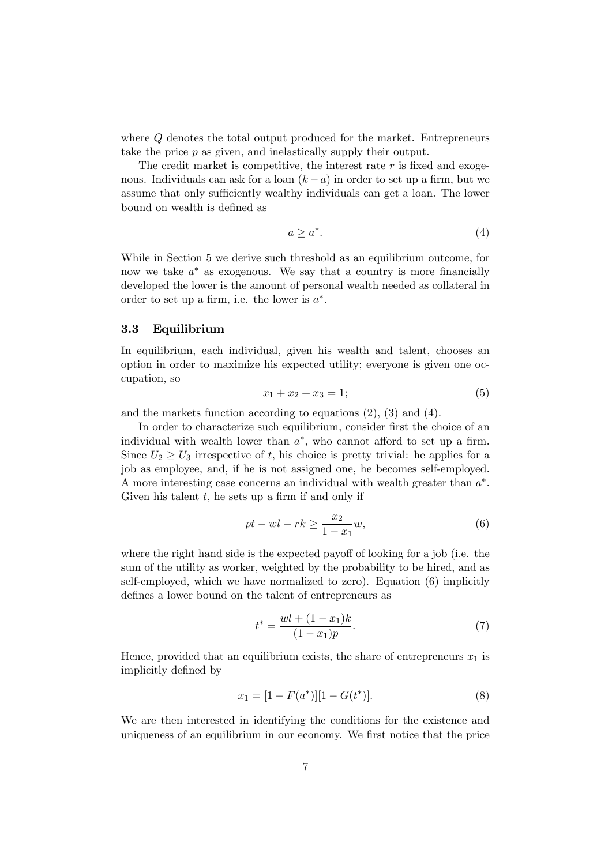where Q denotes the total output produced for the market. Entrepreneurs take the price p as given, and inelastically supply their output.

The credit market is competitive, the interest rate  $r$  is fixed and exogenous. Individuals can ask for a loan  $(k - a)$  in order to set up a firm, but we assume that only sufficiently wealthy individuals can get a loan. The lower bound on wealth is defined as

$$
a \ge a^*.\tag{4}
$$

While in Section 5 we derive such threshold as an equilibrium outcome, for now we take  $a^*$  as exogenous. We say that a country is more financially developed the lower is the amount of personal wealth needed as collateral in order to set up a firm, i.e. the lower is  $a^*$ .

#### 3.3 Equilibrium

In equilibrium, each individual, given his wealth and talent, chooses an option in order to maximize his expected utility; everyone is given one occupation, so

$$
x_1 + x_2 + x_3 = 1; \t\t(5)
$$

and the markets function according to equations (2), (3) and (4).

In order to characterize such equilibrium, consider first the choice of an individual with wealth lower than  $a^*$ , who cannot afford to set up a firm. Since  $U_2 \geq U_3$  irrespective of t, his choice is pretty trivial: he applies for a job as employee, and, if he is not assigned one, he becomes self-employed. A more interesting case concerns an individual with wealth greater than  $a^*$ . Given his talent  $t$ , he sets up a firm if and only if

$$
pt -wl - rk \ge \frac{x_2}{1 - x_1}w,\tag{6}
$$

where the right hand side is the expected payoff of looking for a job (i.e. the sum of the utility as worker, weighted by the probability to be hired, and as self-employed, which we have normalized to zero). Equation (6) implicitly defines a lower bound on the talent of entrepreneurs as

$$
t^* = \frac{wl + (1 - x_1)k}{(1 - x_1)p}.\tag{7}
$$

Hence, provided that an equilibrium exists, the share of entrepreneurs  $x_1$  is implicitly defined by

$$
x_1 = [1 - F(a^*)][1 - G(t^*)]. \tag{8}
$$

We are then interested in identifying the conditions for the existence and uniqueness of an equilibrium in our economy. We first notice that the price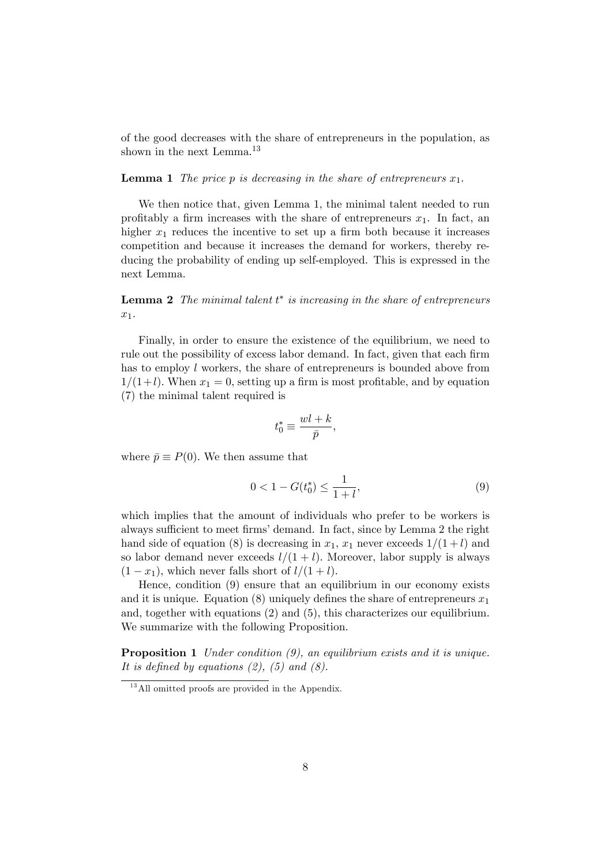of the good decreases with the share of entrepreneurs in the population, as shown in the next Lemma.<sup>13</sup>

#### **Lemma 1** The price p is decreasing in the share of entrepreneurs  $x_1$ .

We then notice that, given Lemma 1, the minimal talent needed to run profitably a firm increases with the share of entrepreneurs  $x_1$ . In fact, an higher  $x_1$  reduces the incentive to set up a firm both because it increases competition and because it increases the demand for workers, thereby reducing the probability of ending up self-employed. This is expressed in the next Lemma.

**Lemma 2** The minimal talent  $t^*$  is increasing in the share of entrepreneurs x1.

Finally, in order to ensure the existence of the equilibrium, we need to rule out the possibility of excess labor demand. In fact, given that each firm has to employ l workers, the share of entrepreneurs is bounded above from  $1/(1+l)$ . When  $x_1 = 0$ , setting up a firm is most profitable, and by equation (7) the minimal talent required is

$$
t_0^* \equiv \frac{wl + k}{\bar{p}},
$$

where  $\bar{p} \equiv P(0)$ . We then assume that

$$
0 < 1 - G(t_0^*) \le \frac{1}{1 + l},\tag{9}
$$

which implies that the amount of individuals who prefer to be workers is always sufficient to meet firms' demand. In fact, since by Lemma 2 the right hand side of equation (8) is decreasing in  $x_1, x_1$  never exceeds  $1/(1 + l)$  and so labor demand never exceeds  $l/(1 + l)$ . Moreover, labor supply is always  $(1 - x<sub>1</sub>)$ , which never falls short of  $l/(1 + l)$ .

Hence, condition (9) ensure that an equilibrium in our economy exists and it is unique. Equation (8) uniquely defines the share of entrepreneurs  $x_1$ and, together with equations (2) and (5), this characterizes our equilibrium. We summarize with the following Proposition.

**Proposition 1** Under condition  $(9)$ , an equilibrium exists and it is unique. It is defined by equations  $(2)$ ,  $(5)$  and  $(8)$ .

 $13$  All omitted proofs are provided in the Appendix.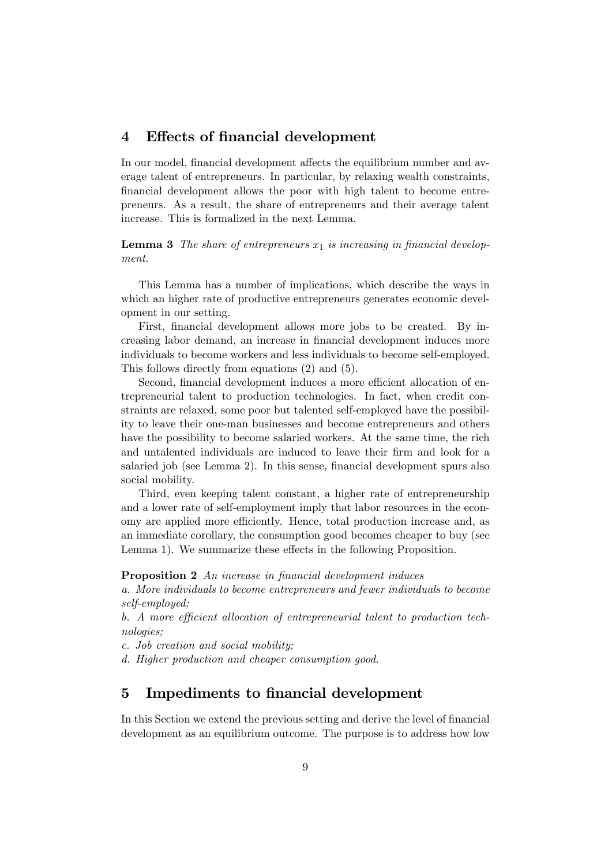## 4 Effects of financial development

In our model, financial development affects the equilibrium number and average talent of entrepreneurs. In particular, by relaxing wealth constraints, Önancial development allows the poor with high talent to become entrepreneurs. As a result, the share of entrepreneurs and their average talent increase. This is formalized in the next Lemma.

**Lemma 3** The share of entrepreneurs  $x_1$  is increasing in financial development.

This Lemma has a number of implications, which describe the ways in which an higher rate of productive entrepreneurs generates economic development in our setting.

First, financial development allows more jobs to be created. By increasing labor demand; an increase in Önancial development induces more individuals to become workers and less individuals to become self-employed. This follows directly from equations (2) and (5).

Second, financial development induces a more efficient allocation of entrepreneurial talent to production technologies. In fact, when credit constraints are relaxed, some poor but talented self-employed have the possibility to leave their one-man businesses and become entrepreneurs and others have the possibility to become salaried workers. At the same time, the rich and untalented individuals are induced to leave their Örm and look for a salaried job (see Lemma 2). In this sense, financial development spurs also social mobility.

Third, even keeping talent constant, a higher rate of entrepreneurship and a lower rate of self-employment imply that labor resources in the economy are applied more efficiently. Hence, total production increase and, as an immediate corollary, the consumption good becomes cheaper to buy (see Lemma 1). We summarize these effects in the following Proposition.

**Proposition 2** An increase in financial development induces

a. More individuals to become entrepreneurs and fewer individuals to become self-employed;

b. A more efficient allocation of entrepreneurial talent to production technologies;

c. Job creation and social mobility;

d. Higher production and cheaper consumption good.

## 5 Impediments to financial development

In this Section we extend the previous setting and derive the level of financial development as an equilibrium outcome. The purpose is to address how low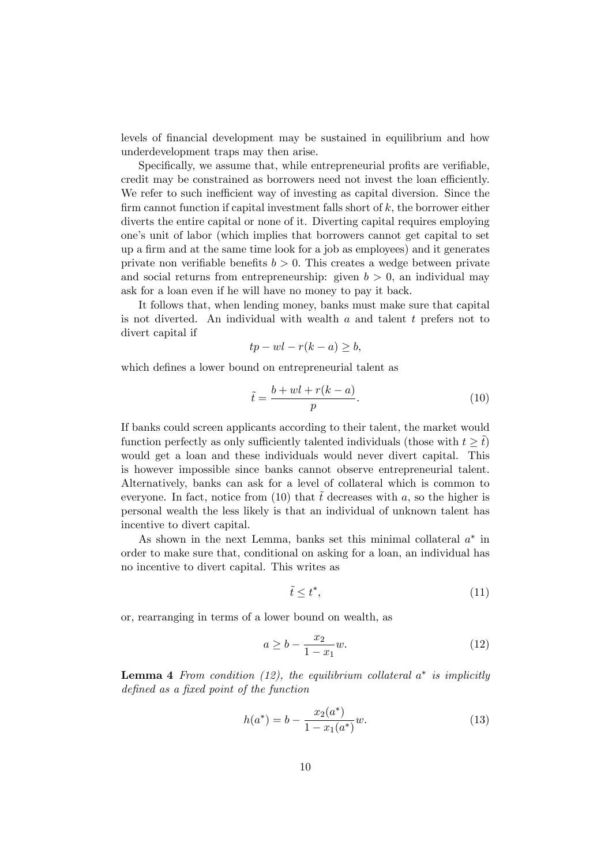levels of Önancial development may be sustained in equilibrium and how underdevelopment traps may then arise.

Specifically, we assume that, while entrepreneurial profits are verifiable, credit may be constrained as borrowers need not invest the loan efficiently. We refer to such inefficient way of investing as capital diversion. Since the firm cannot function if capital investment falls short of  $k$ , the borrower either diverts the entire capital or none of it. Diverting capital requires employing one's unit of labor (which implies that borrowers cannot get capital to set up a Örm and at the same time look for a job as employees) and it generates private non verifiable benefits  $b > 0$ . This creates a wedge between private and social returns from entrepreneurship: given  $b > 0$ , an individual may ask for a loan even if he will have no money to pay it back.

It follows that, when lending money, banks must make sure that capital is not diverted. An individual with wealth  $a$  and talent  $t$  prefers not to divert capital if

$$
tp - wl - r(k - a) \ge b,
$$

which defines a lower bound on entrepreneurial talent as

$$
\tilde{t} = \frac{b + w l + r(k - a)}{p}.\tag{10}
$$

If banks could screen applicants according to their talent, the market would function perfectly as only sufficiently talented individuals (those with  $t \geq t$ ) would get a loan and these individuals would never divert capital. This is however impossible since banks cannot observe entrepreneurial talent. Alternatively, banks can ask for a level of collateral which is common to everyone. In fact, notice from (10) that the decreases with a, so the higher is personal wealth the less likely is that an individual of unknown talent has incentive to divert capital.

As shown in the next Lemma, banks set this minimal collateral  $a^*$  in order to make sure that, conditional on asking for a loan, an individual has no incentive to divert capital. This writes as

$$
\tilde{t} \le t^*,\tag{11}
$$

or, rearranging in terms of a lower bound on wealth, as

$$
a \ge b - \frac{x_2}{1 - x_1} w.
$$
 (12)

**Lemma 4** From condition (12), the equilibrium collateral  $a^*$  is implicitly defined as a fixed point of the function

$$
h(a^*) = b - \frac{x_2(a^*)}{1 - x_1(a^*)} w.
$$
 (13)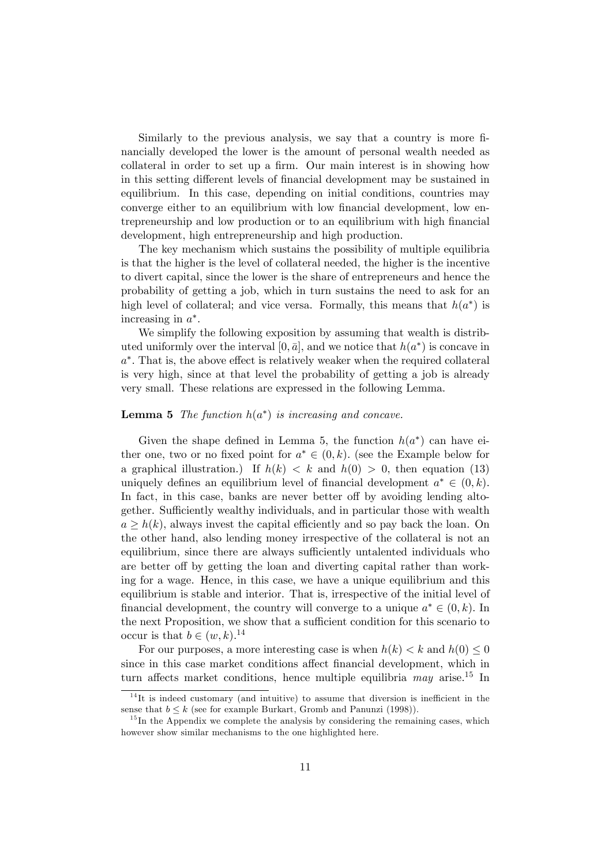Similarly to the previous analysis, we say that a country is more Önancially developed the lower is the amount of personal wealth needed as collateral in order to set up a firm. Our main interest is in showing how in this setting different levels of financial development may be sustained in equilibrium. In this case, depending on initial conditions, countries may converge either to an equilibrium with low financial development, low entrepreneurship and low production or to an equilibrium with high financial development, high entrepreneurship and high production.

The key mechanism which sustains the possibility of multiple equilibria is that the higher is the level of collateral needed, the higher is the incentive to divert capital, since the lower is the share of entrepreneurs and hence the probability of getting a job, which in turn sustains the need to ask for an high level of collateral; and vice versa. Formally, this means that  $h(a^*)$  is increasing in  $a^*$ .

We simplify the following exposition by assuming that wealth is distributed uniformly over the interval  $[0, \bar{a}]$ , and we notice that  $h(a^*)$  is concave in  $a^*$ . That is, the above effect is relatively weaker when the required collateral is very high, since at that level the probability of getting a job is already very small. These relations are expressed in the following Lemma.

#### **Lemma 5** The function  $h(a^*)$  is increasing and concave.

Given the shape defined in Lemma 5, the function  $h(a^*)$  can have either one, two or no fixed point for  $a^* \in (0, k)$ . (see the Example below for a graphical illustration.) If  $h(k) < k$  and  $h(0) > 0$ , then equation (13) uniquely defines an equilibrium level of financial development  $a^* \in (0, k)$ . In fact, in this case, banks are never better off by avoiding lending altogether. Sufficiently wealthy individuals, and in particular those with wealth  $a > h(k)$ , always invest the capital efficiently and so pay back the loan. On the other hand, also lending money irrespective of the collateral is not an equilibrium, since there are always sufficiently untalented individuals who are better off by getting the loan and diverting capital rather than working for a wage. Hence, in this case, we have a unique equilibrium and this equilibrium is stable and interior. That is, irrespective of the initial level of financial development, the country will converge to a unique  $a^* \in (0, k)$ . In the next Proposition, we show that a sufficient condition for this scenario to occur is that  $b \in (w, k).$ <sup>14</sup>

For our purposes, a more interesting case is when  $h(k) < k$  and  $h(0) \leq 0$ since in this case market conditions affect financial development, which in turn affects market conditions, hence multiple equilibria  $may$  arise.<sup>15</sup> In

 $14$ It is indeed customary (and intuitive) to assume that diversion is inefficient in the sense that  $b \le k$  (see for example Burkart, Gromb and Panunzi (1998)).

 $15$  In the Appendix we complete the analysis by considering the remaining cases, which however show similar mechanisms to the one highlighted here.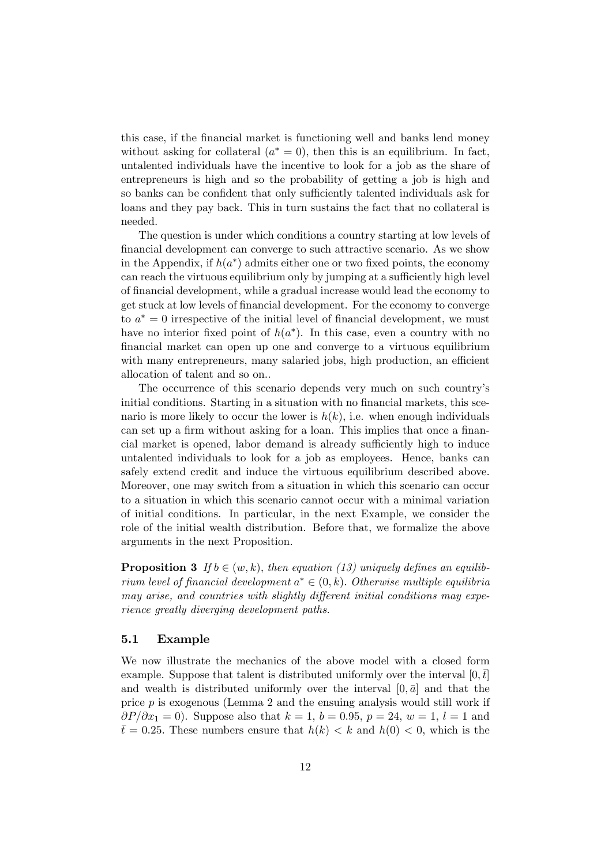this case, if the Önancial market is functioning well and banks lend money without asking for collateral  $(a^* = 0)$ , then this is an equilibrium. In fact, untalented individuals have the incentive to look for a job as the share of entrepreneurs is high and so the probability of getting a job is high and so banks can be confident that only sufficiently talented individuals ask for loans and they pay back. This in turn sustains the fact that no collateral is needed.

The question is under which conditions a country starting at low levels of Önancial development can converge to such attractive scenario. As we show in the Appendix, if  $h(a^*)$  admits either one or two fixed points, the economy can reach the virtuous equilibrium only by jumping at a sufficiently high level of Önancial development, while a gradual increase would lead the economy to get stuck at low levels of Önancial development. For the economy to converge to  $a^* = 0$  irrespective of the initial level of financial development, we must have no interior fixed point of  $h(a^*)$ . In this case, even a country with no Önancial market can open up one and converge to a virtuous equilibrium with many entrepreneurs, many salaried jobs, high production, an efficient allocation of talent and so on..

The occurrence of this scenario depends very much on such countryís initial conditions. Starting in a situation with no financial markets, this scenario is more likely to occur the lower is  $h(k)$ , i.e. when enough individuals can set up a firm without asking for a loan. This implies that once a financial market is opened, labor demand is already sufficiently high to induce untalented individuals to look for a job as employees. Hence, banks can safely extend credit and induce the virtuous equilibrium described above. Moreover, one may switch from a situation in which this scenario can occur to a situation in which this scenario cannot occur with a minimal variation of initial conditions. In particular, in the next Example, we consider the role of the initial wealth distribution. Before that, we formalize the above arguments in the next Proposition.

**Proposition 3** If  $b \in (w, k)$ , then equation (13) uniquely defines an equilibrium level of financial development  $a^* \in (0, k)$ . Otherwise multiple equilibria may arise, and countries with slightly different initial conditions may experience greatly diverging development paths.

### 5.1 Example

We now illustrate the mechanics of the above model with a closed form example. Suppose that talent is distributed uniformly over the interval  $[0, t]$ and wealth is distributed uniformly over the interval  $[0, \bar{a}]$  and that the price  $p$  is exogenous (Lemma 2 and the ensuing analysis would still work if  $\partial P/\partial x_1 = 0$ . Suppose also that  $k = 1, b = 0.95, p = 24, w = 1, l = 1$  and  $\bar{t} = 0.25$ . These numbers ensure that  $h(k) < k$  and  $h(0) < 0$ , which is the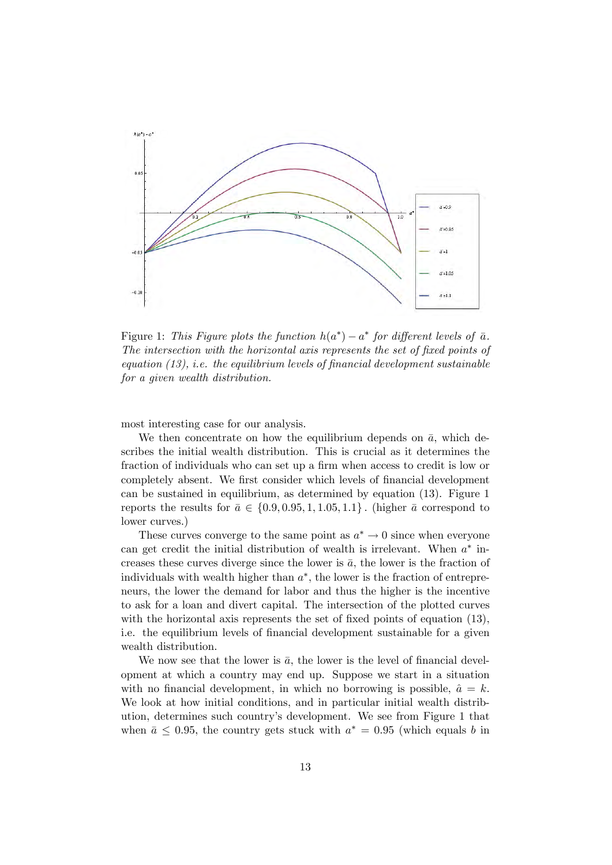

Figure 1: This Figure plots the function  $h(a^*) - a^*$  for different levels of  $\bar{a}$ . The intersection with the horizontal axis represents the set of fixed points of equation  $(13)$ , i.e. the equilibrium levels of financial development sustainable for a given wealth distribution.

most interesting case for our analysis.

We then concentrate on how the equilibrium depends on  $\bar{a}$ , which describes the initial wealth distribution. This is crucial as it determines the fraction of individuals who can set up a firm when access to credit is low or completely absent. We first consider which levels of financial development can be sustained in equilibrium, as determined by equation (13). Figure 1 reports the results for  $\bar{a} \in \{0.9, 0.95, 1, 1.05, 1.1\}$ . (higher  $\bar{a}$  correspond to lower curves.)

These curves converge to the same point as  $a^* \to 0$  since when everyone can get credit the initial distribution of wealth is irrelevant. When  $a^*$  increases these curves diverge since the lower is  $\bar{a}$ , the lower is the fraction of individuals with wealth higher than  $a^*$ , the lower is the fraction of entrepreneurs, the lower the demand for labor and thus the higher is the incentive to ask for a loan and divert capital. The intersection of the plotted curves with the horizontal axis represents the set of fixed points of equation  $(13)$ , i.e. the equilibrium levels of financial development sustainable for a given wealth distribution.

We now see that the lower is  $\bar{a}$ , the lower is the level of financial development at which a country may end up. Suppose we start in a situation with no financial development, in which no borrowing is possible,  $\hat{a} = k$ . We look at how initial conditions, and in particular initial wealth distribution, determines such countryís development. We see from Figure 1 that when  $\bar{a} \leq 0.95$ , the country gets stuck with  $a^* = 0.95$  (which equals b in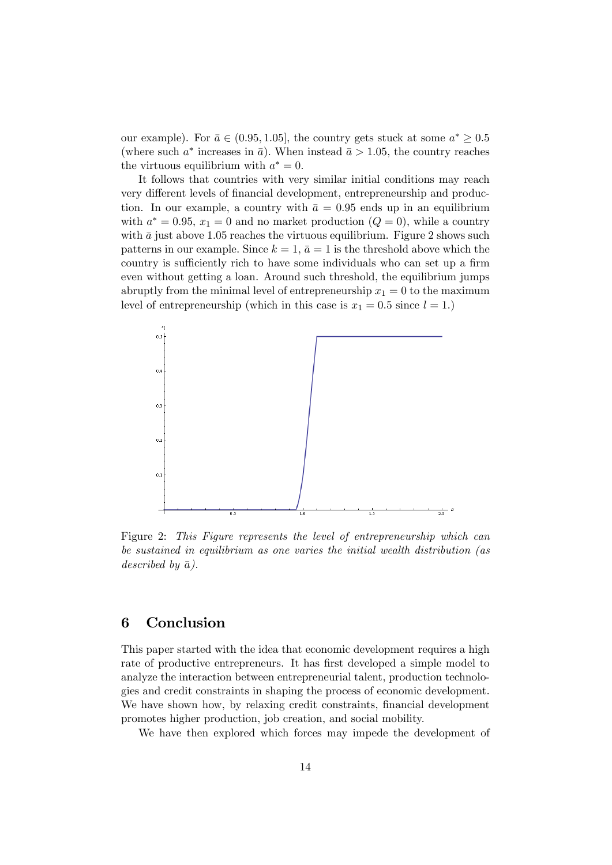our example). For  $\bar{a} \in (0.95, 1.05]$ , the country gets stuck at some  $a^* \geq 0.5$ (where such  $a^*$  increases in  $\bar{a}$ ). When instead  $\bar{a} > 1.05$ , the country reaches the virtuous equilibrium with  $a^* = 0$ .

It follows that countries with very similar initial conditions may reach very different levels of financial development, entrepreneurship and production. In our example, a country with  $\bar{a} = 0.95$  ends up in an equilibrium with  $a^* = 0.95$ ,  $x_1 = 0$  and no market production  $(Q = 0)$ , while a country with  $\bar{a}$  just above 1.05 reaches the virtuous equilibrium. Figure 2 shows such patterns in our example. Since  $k = 1$ ,  $\bar{a} = 1$  is the threshold above which the country is sufficiently rich to have some individuals who can set up a firm even without getting a loan. Around such threshold; the equilibrium jumps abruptly from the minimal level of entrepreneurship  $x_1 = 0$  to the maximum level of entrepreneurship (which in this case is  $x_1 = 0.5$  since  $l = 1$ .)



Figure 2: This Figure represents the level of entrepreneurship which can be sustained in equilibrium as one varies the initial wealth distribution (as described by  $\bar{a}$ ).

## 6 Conclusion

This paper started with the idea that economic development requires a high rate of productive entrepreneurs. It has first developed a simple model to analyze the interaction between entrepreneurial talent, production technologies and credit constraints in shaping the process of economic development. We have shown how, by relaxing credit constraints, financial development promotes higher production, job creation, and social mobility.

We have then explored which forces may impede the development of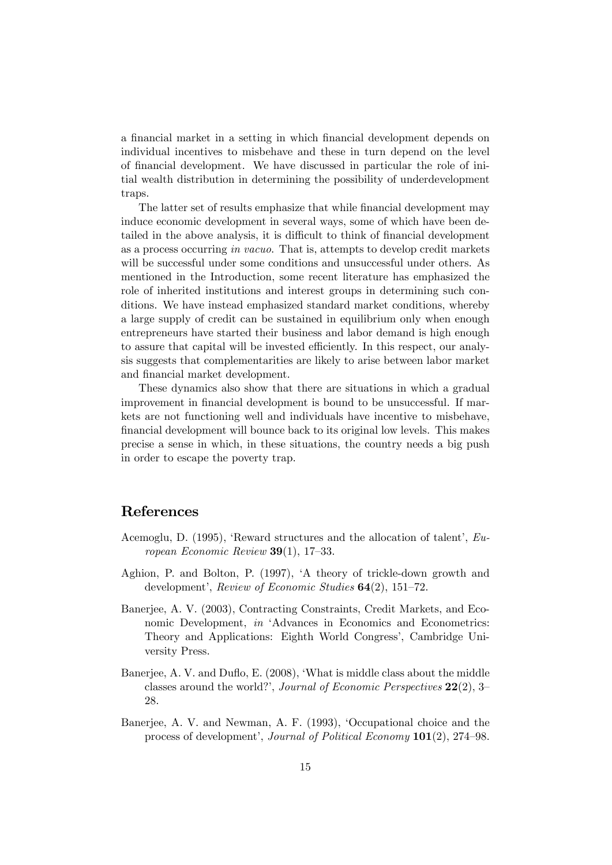a financial market in a setting in which financial development depends on individual incentives to misbehave and these in turn depend on the level of Önancial development. We have discussed in particular the role of initial wealth distribution in determining the possibility of underdevelopment traps.

The latter set of results emphasize that while financial development may induce economic development in several ways, some of which have been detailed in the above analysis, it is difficult to think of financial development as a process occurring in vacuo. That is, attempts to develop credit markets will be successful under some conditions and unsuccessful under others. As mentioned in the Introduction, some recent literature has emphasized the role of inherited institutions and interest groups in determining such conditions. We have instead emphasized standard market conditions, whereby a large supply of credit can be sustained in equilibrium only when enough entrepreneurs have started their business and labor demand is high enough to assure that capital will be invested efficiently. In this respect, our analysis suggests that complementarities are likely to arise between labor market and financial market development.

These dynamics also show that there are situations in which a gradual improvement in financial development is bound to be unsuccessful. If markets are not functioning well and individuals have incentive to misbehave, Önancial development will bounce back to its original low levels. This makes precise a sense in which, in these situations, the country needs a big push in order to escape the poverty trap.

## References

- Acemoglu, D. (1995), 'Reward structures and the allocation of talent',  $Eu$ ropean Economic Review  $39(1)$ , 17-33.
- Aghion, P. and Bolton, P. (1997), ëA theory of trickle-down growth and development', Review of Economic Studies  $64(2)$ , 151–72.
- Banerjee, A. V. (2003), Contracting Constraints, Credit Markets, and Economic Development, in 'Advances in Economics and Econometrics: Theory and Applications: Eighth World Congress', Cambridge University Press.
- Banerjee, A. V. and Duflo, E. (2008), 'What is middle class about the middle classes around the world?', Journal of Economic Perspectives  $22(2)$ , 3– 28.
- Banerjee, A. V. and Newman, A. F. (1993), 'Occupational choice and the process of development', Journal of Political Economy 101(2), 274–98.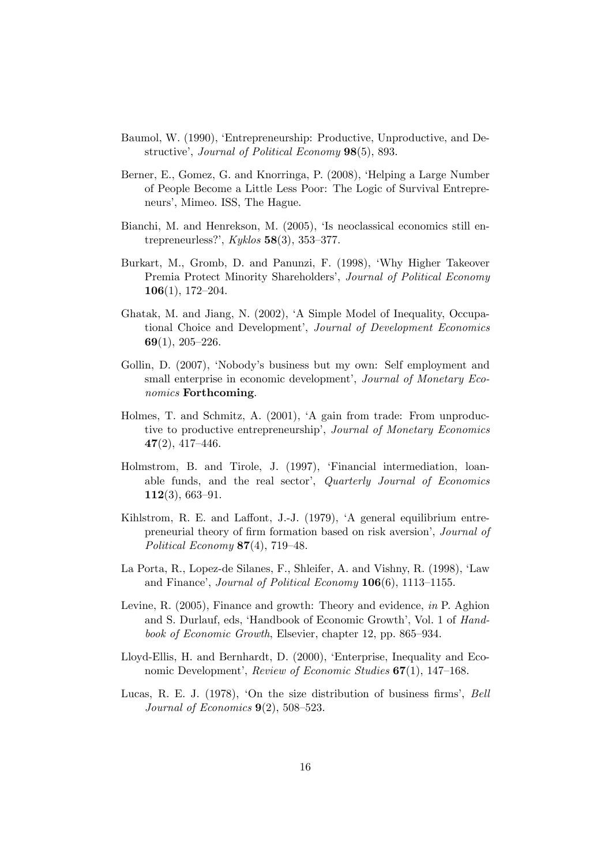- Baumol, W. (1990), ëEntrepreneurship: Productive, Unproductive, and Destructive', Journal of Political Economy 98(5), 893.
- Berner, E., Gomez, G. and Knorringa, P. (2008), 'Helping a Large Number of People Become a Little Less Poor: The Logic of Survival Entrepreneurs', Mimeo. ISS, The Hague.
- Bianchi, M. and Henrekson, M. (2005), 'Is neoclassical economics still entrepreneurless?',  $Kyklos$  58(3), 353-377.
- Burkart, M., Gromb, D. and Panunzi, F. (1998), ëWhy Higher Takeover Premia Protect Minority Shareholders', Journal of Political Economy  $106(1)$ , 172–204.
- Ghatak, M. and Jiang, N. (2002), ëA Simple Model of Inequality, Occupational Choice and Development', Journal of Development Economics  $69(1), 205-226.$
- Gollin, D. (2007), 'Nobody's business but my own: Self employment and small enterprise in economic development', Journal of Monetary Economics Forthcoming.
- Holmes, T. and Schmitz, A. (2001), ëA gain from trade: From unproductive to productive entrepreneurship', Journal of Monetary Economics  $47(2)$ ,  $417-446$ .
- Holmstrom, B. and Tirole, J. (1997), 'Financial intermediation, loanable funds, and the real sector', Quarterly Journal of Economics  $112(3), 663-91.$
- Kihlstrom, R. E. and Laffont, J.-J. (1979), 'A general equilibrium entrepreneurial theory of firm formation based on risk aversion', *Journal of* Political Economy  $87(4)$ , 719-48.
- La Porta, R., Lopez-de Silanes, F., Shleifer, A. and Vishny, R. (1998), 'Law and Finance', Journal of Political Economy  $106(6)$ , 1113-1155.
- Levine, R. (2005), Finance and growth: Theory and evidence, in P. Aghion and S. Durlauf, eds. 'Handbook of Economic Growth', Vol. 1 of Handbook of Economic Growth, Elsevier, chapter 12, pp. 865–934.
- Lloyd-Ellis, H. and Bernhardt, D. (2000), ëEnterprise, Inequality and Economic Development', Review of Economic Studies  $67(1)$ , 147–168.
- Lucas, R. E. J.  $(1978)$ , 'On the size distribution of business firms', Bell Journal of Economics  $9(2)$ , 508–523.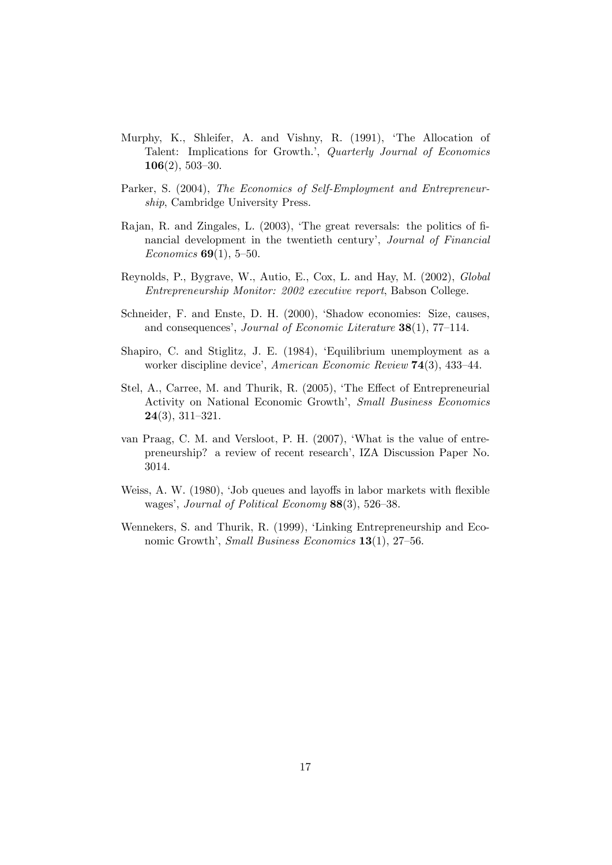- Murphy, K., Shleifer, A. and Vishny, R. (1991), 'The Allocation of Talent: Implications for Growth.', Quarterly Journal of Economics  $106(2), 503-30.$
- Parker, S. (2004), The Economics of Self-Employment and Entrepreneurship, Cambridge University Press.
- Rajan, R. and Zingales, L. (2003), 'The great reversals: the politics of financial development in the twentieth century', Journal of Financial Economics  $69(1)$ , 5-50.
- Reynolds, P., Bygrave, W., Autio, E., Cox, L. and Hay, M. (2002), Global Entrepreneurship Monitor: 2002 executive report, Babson College.
- Schneider, F. and Enste, D. H. (2000), 'Shadow economies: Size, causes, and consequences', *Journal of Economic Literature*  $38(1)$ , 77–114.
- Shapiro, C. and Stiglitz, J. E. (1984), 'Equilibrium unemployment as a worker discipline device', American Economic Review  $74(3)$ , 433-44.
- Stel, A., Carree, M. and Thurik, R. (2005), 'The Effect of Entrepreneurial Activity on National Economic Growth', Small Business Economics  $24(3), 311-321.$
- van Praag, C. M. and Versloot, P. H. (2007), ëWhat is the value of entrepreneurship? a review of recent research', IZA Discussion Paper No. 3014.
- Weiss, A. W. (1980), 'Job queues and layoffs in labor markets with flexible wages', Journal of Political Economy  $88(3)$ , 526–38.
- Wennekers, S. and Thurik, R. (1999), ëLinking Entrepreneurship and Economic Growth', Small Business Economics  $13(1)$ , 27-56.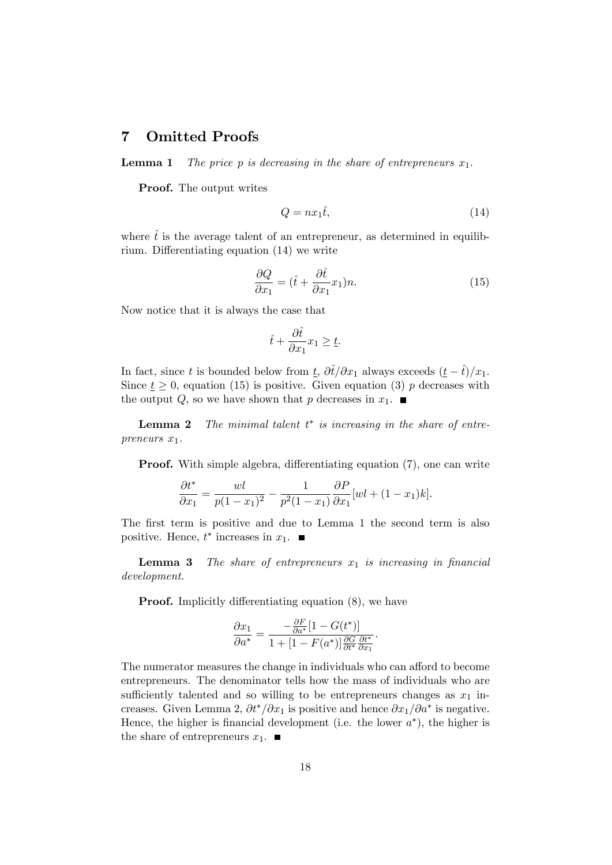## 7 Omitted Proofs

**Lemma 1** The price p is decreasing in the share of entrepreneurs  $x_1$ .

Proof. The output writes

$$
Q = nx_1 \hat{t},\tag{14}
$$

where  $\hat{t}$  is the average talent of an entrepreneur, as determined in equilibrium. Differentiating equation  $(14)$  we write

$$
\frac{\partial Q}{\partial x_1} = (\hat{t} + \frac{\partial \hat{t}}{\partial x_1} x_1) n. \tag{15}
$$

Now notice that it is always the case that

$$
\hat{t} + \frac{\partial \hat{t}}{\partial x_1} x_1 \ge \underline{t}.
$$

In fact, since t is bounded below from t,  $\partial \hat{t}/\partial x_1$  always exceeds  $(\underline{t} - \hat{t})/x_1$ . Since  $t \geq 0$ , equation (15) is positive. Given equation (3) p decreases with the output Q, so we have shown that p decreases in  $x_1$ .

**Lemma 2** The minimal talent  $t^*$  is increasing in the share of entrepreneurs  $x_1$ .

**Proof.** With simple algebra, differentiating equation (7), one can write

$$
\frac{\partial t^*}{\partial x_1} = \frac{wl}{p(1-x_1)^2} - \frac{1}{p^2(1-x_1)} \frac{\partial P}{\partial x_1} [wl + (1-x_1)k].
$$

The first term is positive and due to Lemma 1 the second term is also positive. Hence,  $t^*$  increases in  $x_1$ .

**Lemma 3** The share of entrepreneurs  $x_1$  is increasing in financial development.

**Proof.** Implicitly differentiating equation  $(8)$ , we have

$$
\frac{\partial x_1}{\partial a^*} = \frac{-\frac{\partial F}{\partial a^*} [1 - G(t^*)]}{1 + [1 - F(a^*)] \frac{\partial G}{\partial t^*} \frac{\partial t^*}{\partial x_1}}.
$$

The numerator measures the change in individuals who can afford to become entrepreneurs. The denominator tells how the mass of individuals who are sufficiently talented and so willing to be entrepreneurs changes as  $x_1$  increases. Given Lemma 2,  $\partial t^* / \partial x_1$  is positive and hence  $\partial x_1 / \partial a^*$  is negative. Hence, the higher is financial development (i.e. the lower  $a^*$ ), the higher is the share of entrepreneurs  $x_1$ .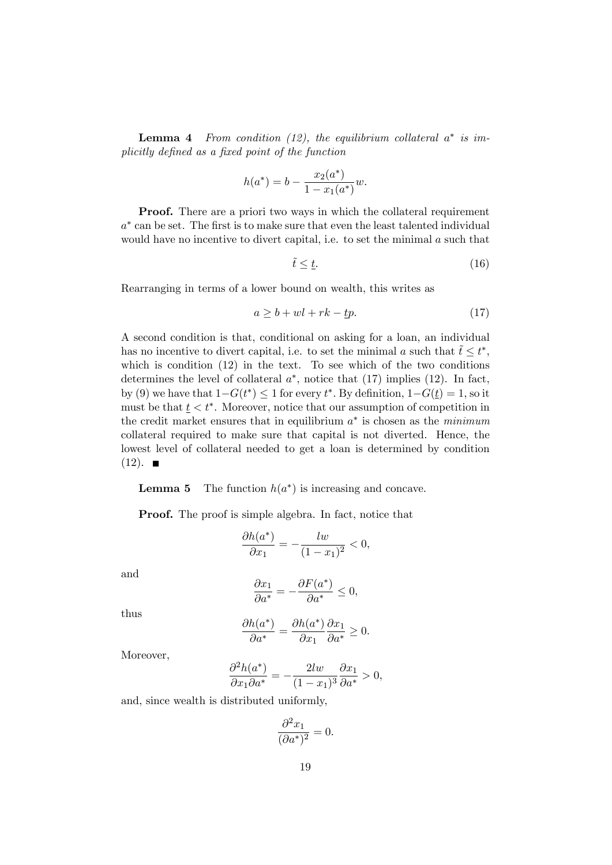**Lemma 4** From condition  $(12)$ , the equilibrium collateral  $a^*$  is implicitly defined as a fixed point of the function

$$
h(a^*) = b - \frac{x_2(a^*)}{1 - x_1(a^*)}w.
$$

**Proof.** There are a priori two ways in which the collateral requirement  $a^*$  can be set. The first is to make sure that even the least talented individual would have no incentive to divert capital, i.e. to set the minimal a such that

$$
\tilde{t} \le \underline{t}.\tag{16}
$$

Rearranging in terms of a lower bound on wealth, this writes as

$$
a \ge b + w \cdot k - \underline{t} p. \tag{17}
$$

A second condition is that, conditional on asking for a loan, an individual has no incentive to divert capital, i.e. to set the minimal a such that  $\tilde{t} \leq t^*$ , which is condition (12) in the text. To see which of the two conditions determines the level of collateral  $a^*$ , notice that (17) implies (12). In fact, by (9) we have that  $1-G(t^*) \leq 1$  for every  $t^*$ . By definition,  $1-G(\underline{t})=1$ , so it must be that  $\underline{t} < t^*$ . Moreover, notice that our assumption of competition in the credit market ensures that in equilibrium  $a^*$  is chosen as the *minimum* collateral required to make sure that capital is not diverted. Hence, the lowest level of collateral needed to get a loan is determined by condition  $(12)$ .

**Lemma 5** The function  $h(a^*)$  is increasing and concave.

Proof. The proof is simple algebra. In fact, notice that

$$
\frac{\partial h(a^*)}{\partial x_1} = -\frac{lw}{(1-x_1)^2} < 0,
$$

and

$$
\frac{\partial x_1}{\partial a^*} = -\frac{\partial F(a^*)}{\partial a^*} \le 0,
$$

thus

$$
\frac{\partial h(a^*)}{\partial a^*} = \frac{\partial h(a^*)}{\partial x_1} \frac{\partial x_1}{\partial a^*} \ge 0.
$$

Moreover,

$$
\frac{\partial^2 h(a^*)}{\partial x_1 \partial a^*} = -\frac{2lw}{(1-x_1)^3} \frac{\partial x_1}{\partial a^*} > 0,
$$

and, since wealth is distributed uniformly,

$$
\frac{\partial^2 x_1}{(\partial a^*)^2} = 0.
$$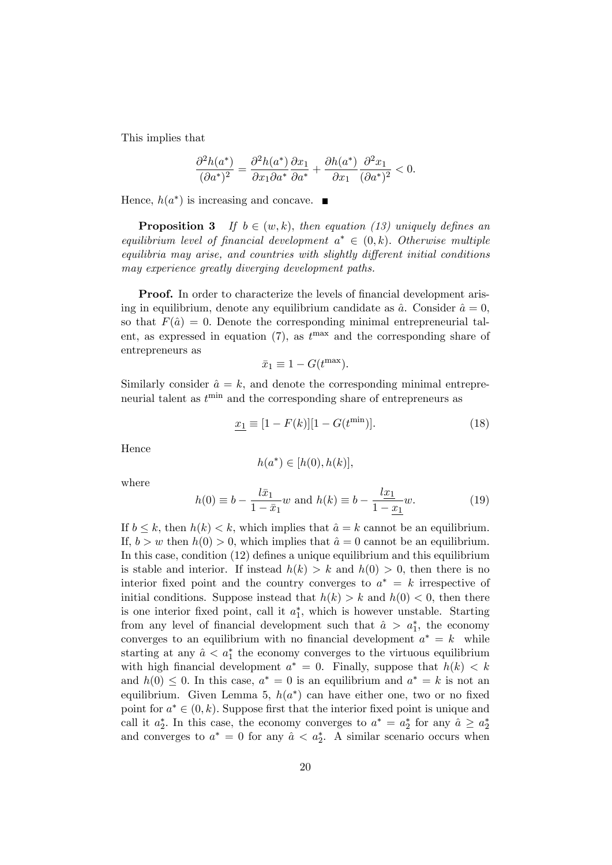This implies that

$$
\frac{\partial^2 h(a^*)}{(\partial a^*)^2} = \frac{\partial^2 h(a^*)}{\partial x_1 \partial a^*} \frac{\partial x_1}{\partial a^*} + \frac{\partial h(a^*)}{\partial x_1} \frac{\partial^2 x_1}{(\partial a^*)^2} < 0.
$$

Hence,  $h(a^*)$  is increasing and concave.

**Proposition 3** If  $b \in (w, k)$ , then equation (13) uniquely defines an equilibrium level of financial development  $a^* \in (0, k)$ . Otherwise multiple equilibria may arise, and countries with slightly different initial conditions may experience greatly diverging development paths.

**Proof.** In order to characterize the levels of financial development arising in equilibrium, denote any equilibrium candidate as  $\hat{a}$ . Consider  $\hat{a} = 0$ , so that  $F(\hat{a}) = 0$ . Denote the corresponding minimal entrepreneurial talent, as expressed in equation  $(7)$ , as  $t^{\max}$  and the corresponding share of entrepreneurs as

$$
\bar{x}_1 \equiv 1 - G(t^{\text{max}}).
$$

Similarly consider  $\hat{a} = k$ , and denote the corresponding minimal entrepreneurial talent as  $t^{\min}$  and the corresponding share of entrepreneurs as

$$
\underline{x_1} \equiv [1 - F(k)][1 - G(t^{\min})]. \tag{18}
$$

Hence

$$
h(a^*) \in [h(0), h(k)],
$$

where

$$
h(0) \equiv b - \frac{l\bar{x}_1}{1 - \bar{x}_1} w \text{ and } h(k) \equiv b - \frac{l\bar{x}_1}{1 - \underline{x}_1} w.
$$
 (19)

If  $b \leq k$ , then  $h(k) < k$ , which implies that  $\hat{a} = k$  cannot be an equilibrium. If,  $b > w$  then  $h(0) > 0$ , which implies that  $\hat{a} = 0$  cannot be an equilibrium. In this case, condition  $(12)$  defines a unique equilibrium and this equilibrium is stable and interior. If instead  $h(k) > k$  and  $h(0) > 0$ , then there is no interior fixed point and the country converges to  $a^* = k$  irrespective of initial conditions. Suppose instead that  $h(k) > k$  and  $h(0) < 0$ , then there is one interior fixed point, call it  $a_1^*$ , which is however unstable. Starting from any level of financial development such that  $\hat{a} > a_1^*$ , the economy converges to an equilibrium with no financial development  $a^* = k$  while starting at any  $\hat{a} < a_1^*$  the economy converges to the virtuous equilibrium with high financial development  $a^* = 0$ . Finally, suppose that  $h(k) < k$ and  $h(0) \leq 0$ . In this case,  $a^* = 0$  is an equilibrium and  $a^* = k$  is not an equilibrium. Given Lemma 5,  $h(a^*)$  can have either one, two or no fixed point for  $a^* \in (0, k)$ . Suppose first that the interior fixed point is unique and call it  $a_2^*$ . In this case, the economy converges to  $a^* = a_2^*$  for any  $\hat{a} \ge a_2^*$ and converges to  $a^* = 0$  for any  $\hat{a} < a_2^*$ . A similar scenario occurs when